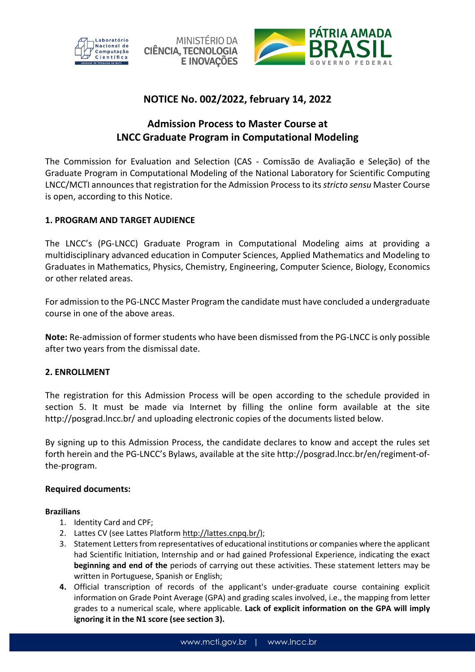





## **NOTICE No. 002/2022, february 14, 2022**

# **Admission Process to Master Course at LNCC Graduate Program in Computational Modeling**

The Commission for Evaluation and Selection (CAS - Comissão de Avaliação e Seleção) of the Graduate Program in Computational Modeling of the National Laboratory for Scientific Computing LNCC/MCTI announces that registration for the Admission Process to its *stricto sensu* Master Course is open, according to this Notice.

## **1. PROGRAM AND TARGET AUDIENCE**

The LNCC's (PG-LNCC) Graduate Program in Computational Modeling aims at providing a multidisciplinary advanced education in Computer Sciences, Applied Mathematics and Modeling to Graduates in Mathematics, Physics, Chemistry, Engineering, Computer Science, Biology, Economics or other related areas.

For admission to the PG-LNCC Master Program the candidate must have concluded a undergraduate course in one of the above areas.

**Note:** Re-admission of former students who have been dismissed from the PG-LNCC is only possible after two years from the dismissal date.

## **2. ENROLLMENT**

The registration for this Admission Process will be open according to the schedule provided in section 5. It must be made via Internet by filling the online form available at the site http://posgrad.lncc.br/ and uploading electronic copies of the documents listed below.

By signing up to this Admission Process, the candidate declares to know and accept the rules set forth herein and the PG-LNCC's Bylaws, available at the site http://posgrad.lncc.br/en/regiment-ofthe-program.

## **Required documents:**

## **Brazilians**

- 1. Identity Card and CPF;
- 2. Lattes CV (see Lattes Platform http://lattes.cnpq.br/);
- 3. Statement Letters from representatives of educational institutions or companies where the applicant had Scientific Initiation, Internship and or had gained Professional Experience, indicating the exact **beginning and end of the** periods of carrying out these activities. These statement letters may be written in Portuguese, Spanish or English;
- **4.** Official transcription of records of the applicant's under-graduate course containing explicit information on Grade Point Average (GPA) and grading scales involved, i.e., the mapping from letter grades to a numerical scale, where applicable. **Lack of explicit information on the GPA will imply ignoring it in the N1 score (see section 3).**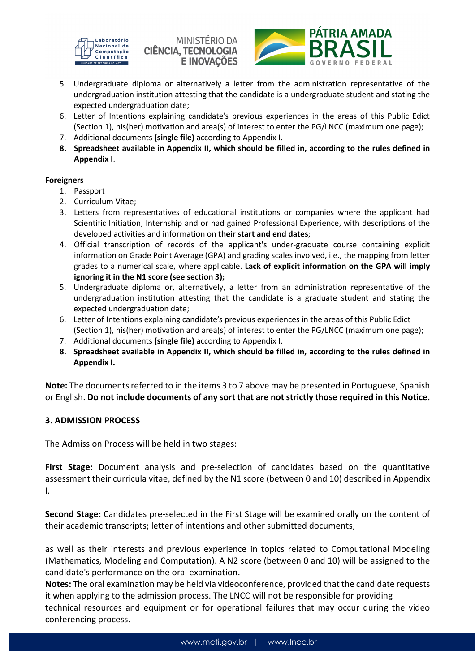

MINISTÉRIO DA **CIÊNCIA, TECNOLOGIA E INOVAÇÕES** 



- 5. Undergraduate diploma or alternatively a letter from the administration representative of the undergraduation institution attesting that the candidate is a undergraduate student and stating the expected undergraduation date;
- 6. Letter of Intentions explaining candidate's previous experiences in the areas of this Public Edict (Section 1), his(her) motivation and area(s) of interest to enter the PG/LNCC (maximum one page);
- 7. Additional documents **(single file)** according to Appendix I.
- **8. Spreadsheet available in Appendix II, which should be filled in, according to the rules defined in Appendix I**.

#### **Foreigners**

- 1. Passport
- 2. Curriculum Vitae;
- 3. Letters from representatives of educational institutions or companies where the applicant had Scientific Initiation, Internship and or had gained Professional Experience, with descriptions of the developed activities and information on **their start and end dates**;
- 4. Official transcription of records of the applicant's under-graduate course containing explicit information on Grade Point Average (GPA) and grading scales involved, i.e., the mapping from letter grades to a numerical scale, where applicable. **Lack of explicit information on the GPA will imply ignoring it in the N1 score (see section 3);**
- 5. Undergraduate diploma or, alternatively, a letter from an administration representative of the undergraduation institution attesting that the candidate is a graduate student and stating the expected undergraduation date;
- 6. Letter of Intentions explaining candidate's previous experiences in the areas of this Public Edict (Section 1), his(her) motivation and area(s) of interest to enter the PG/LNCC (maximum one page);
- 7. Additional documents **(single file)** according to Appendix I.
- **8. Spreadsheet available in Appendix II, which should be filled in, according to the rules defined in Appendix I.**

**Note:** The documents referred to in the items 3 to 7 above may be presented in Portuguese, Spanish or English. **Do not include documents of any sort that are not strictly those required in this Notice.** 

## **3. ADMISSION PROCESS**

The Admission Process will be held in two stages:

**First Stage:** Document analysis and pre-selection of candidates based on the quantitative assessment their curricula vitae, defined by the N1 score (between 0 and 10) described in Appendix I.

**Second Stage:** Candidates pre-selected in the First Stage will be examined orally on the content of their academic transcripts; letter of intentions and other submitted documents,

as well as their interests and previous experience in topics related to Computational Modeling (Mathematics, Modeling and Computation). A N2 score (between 0 and 10) will be assigned to the candidate's performance on the oral examination.

**Notes:** The oral examination may be held via videoconference, provided that the candidate requests it when applying to the admission process. The LNCC will not be responsible for providing

technical resources and equipment or for operational failures that may occur during the video conferencing process.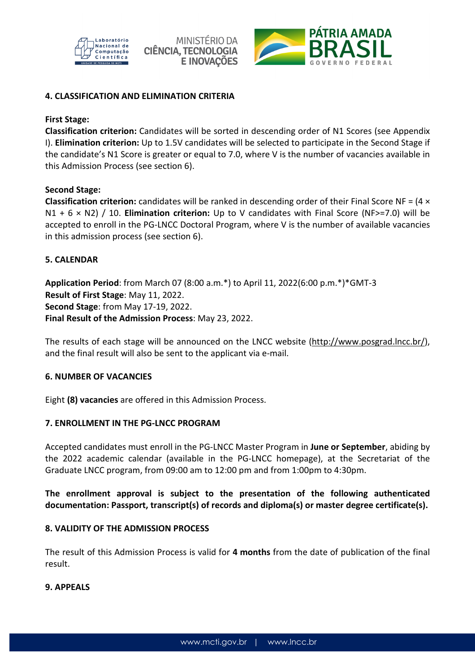





## **4. CLASSIFICATION AND ELIMINATION CRITERIA**

## **First Stage:**

**Classification criterion:** Candidates will be sorted in descending order of N1 Scores (see Appendix I). **Elimination criterion:** Up to 1.5V candidates will be selected to participate in the Second Stage if the candidate's N1 Score is greater or equal to 7.0, where V is the number of vacancies available in this Admission Process (see section 6).

## **Second Stage:**

**Classification criterion:** candidates will be ranked in descending order of their Final Score NF = (4 × N1 + 6 × N2) / 10. **Elimination criterion:** Up to V candidates with Final Score (NF>=7.0) will be accepted to enroll in the PG-LNCC Doctoral Program, where V is the number of available vacancies in this admission process (see section 6).

## **5. CALENDAR**

**Application Period**: from March 07 (8:00 a.m.\*) to April 11, 2022(6:00 p.m.\*)\*GMT-3 **Result of First Stage**: May 11, 2022. **Second Stage**: from May 17-19, 2022. **Final Result of the Admission Process**: May 23, 2022.

The results of each stage will be announced on the LNCC website (http://www.posgrad.lncc.br/), and the final result will also be sent to the applicant via e-mail.

## **6. NUMBER OF VACANCIES**

Eight **(8) vacancies** are offered in this Admission Process.

## **7. ENROLLMENT IN THE PG-LNCC PROGRAM**

Accepted candidates must enroll in the PG-LNCC Master Program in **June or September**, abiding by the 2022 academic calendar (available in the PG-LNCC homepage), at the Secretariat of the Graduate LNCC program, from 09:00 am to 12:00 pm and from 1:00pm to 4:30pm.

**The enrollment approval is subject to the presentation of the following authenticated documentation: Passport, transcript(s) of records and diploma(s) or master degree certificate(s).**

## **8. VALIDITY OF THE ADMISSION PROCESS**

The result of this Admission Process is valid for **4 months** from the date of publication of the final result.

## **9. APPEALS**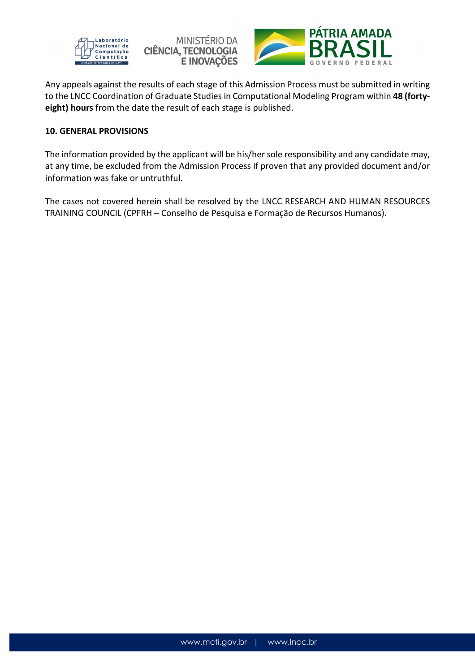





Any appeals against the results of each stage of this Admission Process must be submitted in writing to the LNCC Coordination of Graduate Studies in Computational Modeling Program within **48 (fortyeight) hours** from the date the result of each stage is published.

#### **10. GENERAL PROVISIONS**

The information provided by the applicant will be his/her sole responsibility and any candidate may, at any time, be excluded from the Admission Process if proven that any provided document and/or information was fake or untruthful.

The cases not covered herein shall be resolved by the LNCC RESEARCH AND HUMAN RESOURCES TRAINING COUNCIL (CPFRH – Conselho de Pesquisa e Formação de Recursos Humanos).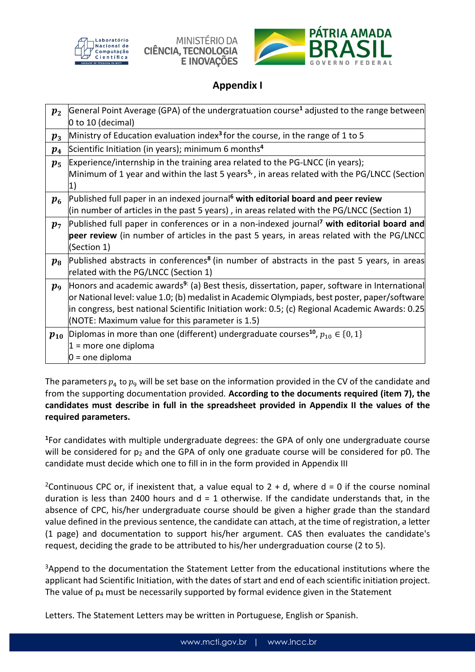



## **Appendix I**

| $p_{2}$            | General Point Average (GPA) of the undergratuation course <sup>1</sup> adjusted to the range between     |  |  |
|--------------------|----------------------------------------------------------------------------------------------------------|--|--|
|                    | 0 to 10 (decimal)                                                                                        |  |  |
| $\boldsymbol{p_3}$ | Ministry of Education evaluation index <sup>3</sup> for the course, in the range of 1 to 5               |  |  |
| $p_{4}$            | Scientific Initiation (in years); minimum 6 months <sup>4</sup>                                          |  |  |
| $p_{5}$            | Experience/internship in the training area related to the PG-LNCC (in years);                            |  |  |
|                    | Minimum of 1 year and within the last 5 years <sup>5,</sup> , in areas related with the PG/LNCC (Section |  |  |
|                    | 1                                                                                                        |  |  |
| $\boldsymbol{p_6}$ | Published full paper in an indexed journal <sup>6</sup> with editorial board and peer review             |  |  |
|                    | (in number of articles in the past 5 years), in areas related with the PG/LNCC (Section 1)               |  |  |
| $p_7$              | Published full paper in conferences or in a non-indexed journal <sup>7</sup> with editorial board and    |  |  |
|                    | peer review (in number of articles in the past 5 years, in areas related with the PG/LNCC                |  |  |
|                    | (Section 1)                                                                                              |  |  |
| $p_{8}$            | Published abstracts in conferences <sup>8</sup> (in number of abstracts in the past 5 years, in areas    |  |  |
|                    | related with the PG/LNCC (Section 1)                                                                     |  |  |
| $p_{9}$            | Honors and academic awards <sup>9:</sup> (a) Best thesis, dissertation, paper, software in International |  |  |
|                    | or National level: value 1.0; (b) medalist in Academic Olympiads, best poster, paper/software            |  |  |
|                    | in congress, best national Scientific Initiation work: 0.5; (c) Regional Academic Awards: 0.25           |  |  |
|                    | (NOTE: Maximum value for this parameter is 1.5)                                                          |  |  |
| $p_{10}$           | Diplomas in more than one (different) undergraduate courses <sup>10</sup> , $p_{10} \in \{0,1\}$         |  |  |
|                    | $1 =$ more one diploma                                                                                   |  |  |
|                    | $0 =$ one diploma                                                                                        |  |  |

The parameters  $p_4$  to  $p_9$  will be set base on the information provided in the CV of the candidate and from the supporting documentation provided*.* **According to the documents required (item 7), the candidates must describe in full in the spreadsheet provided in Appendix II the values of the required parameters.** 

**<sup>1</sup>**For candidates with multiple undergraduate degrees: the GPA of only one undergraduate course will be considered for  $p_2$  and the GPA of only one graduate course will be considered for p0. The candidate must decide which one to fill in in the form provided in Appendix III

<sup>2</sup>Continuous CPC or, if inexistent that, a value equal to 2 + d, where d = 0 if the course nominal duration is less than 2400 hours and  $d = 1$  otherwise. If the candidate understands that, in the absence of CPC, his/her undergraduate course should be given a higher grade than the standard value defined in the previous sentence, the candidate can attach, at the time of registration, a letter (1 page) and documentation to support his/her argument. CAS then evaluates the candidate's request, deciding the grade to be attributed to his/her undergraduation course (2 to 5).

<sup>3</sup>Append to the documentation the Statement Letter from the educational institutions where the applicant had Scientific Initiation, with the dates of start and end of each scientific initiation project. The value of  $p_4$  must be necessarily supported by formal evidence given in the Statement

Letters. The Statement Letters may be written in Portuguese, English or Spanish.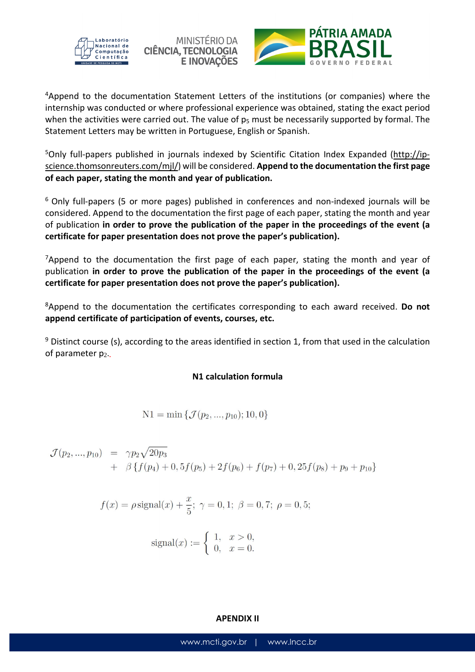





<sup>4</sup>Append to the documentation Statement Letters of the institutions (or companies) where the internship was conducted or where professional experience was obtained, stating the exact period when the activities were carried out. The value of  $p_5$  must be necessarily supported by formal. The Statement Letters may be written in Portuguese, English or Spanish.

5Only full-papers published in journals indexed by Scientific Citation Index Expanded (http://ipscience.thomsonreuters.com/mjl/) will be considered. **Append to the documentation the first page of each paper, stating the month and year of publication.** 

<sup>6</sup> Only full-papers (5 or more pages) published in conferences and non-indexed journals will be considered. Append to the documentation the first page of each paper, stating the month and year of publication **in order to prove the publication of the paper in the proceedings of the event (a certificate for paper presentation does not prove the paper's publication).** 

 $7$ Append to the documentation the first page of each paper, stating the month and year of publication **in order to prove the publication of the paper in the proceedings of the event (a certificate for paper presentation does not prove the paper's publication).** 

<sup>8</sup>Append to the documentation the certificates corresponding to each award received. **Do not append certificate of participation of events, courses, etc.** 

<sup>9</sup> Distinct course (s), according to the areas identified in section 1, from that used in the calculation of parameter p2.**.**

## **N1 calculation formula**

$$
N1 = min \{ \mathcal{J}(p_2, ..., p_{10}); 10, 0 \}
$$

$$
\mathcal{J}(p_2,...,p_{10}) = \gamma p_2 \sqrt{20p_3} \n+ \beta \{f(p_4) + 0, 5f(p_5) + 2f(p_6) + f(p_7) + 0, 25f(p_8) + p_9 + p_{10}\}
$$

$$
f(x) = \rho \text{signal}(x) + \frac{x}{5}
$$
;  $\gamma = 0, 1$ ;  $\beta = 0, 7$ ;  $\rho = 0, 5$ ;

$$
signal(x) := \begin{cases} 1, & x > 0, \\ 0, & x = 0. \end{cases}
$$

#### **APENDIX II**